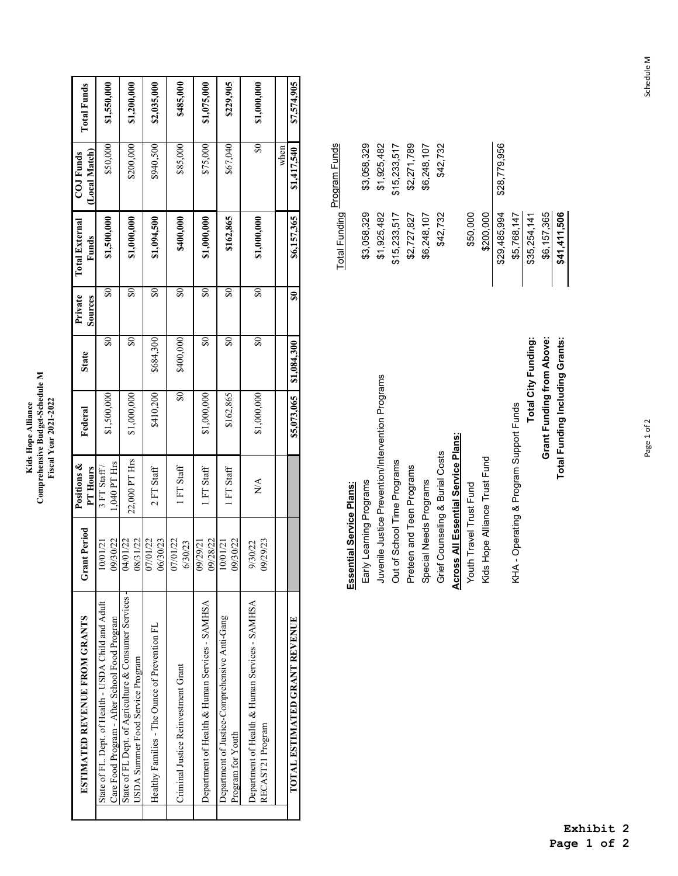## Kids Hope Alliance<br>Comprehensive Budget-Schedule M<br>Fiscal Year 2021-2022 **Comprehensive Budget-Schedule M Fiscal Year 2021-2022 Kids Hope Alliance**

| \$7,574,905        | \$1,417,540                 | \$6,157,365           | SO                      | \$1,084,300                       | \$5,073,065 |               |                     | TOTAL ESTIMATED GRANT REVENUE                        |
|--------------------|-----------------------------|-----------------------|-------------------------|-----------------------------------|-------------|---------------|---------------------|------------------------------------------------------|
|                    | $\frac{1}{2}$               |                       |                         |                                   |             |               |                     |                                                      |
|                    |                             |                       |                         |                                   |             |               | 9/29/23             | RECAST21 Program                                     |
| \$1,000,000        | $\boldsymbol{\mathsf{\$0}}$ | \$1,000,000           | $\$0$                   | $\$0$                             | \$1,000,000 | NA            | 9/30/22             | Department of Health & Human Services - SAMHSA       |
| \$229,905          | \$67,040                    | \$162,865             | \$0                     | $\overline{\mathbf{S}}\mathbf{0}$ | \$162,865   | FT Staff      | 9/30/22             | Program for Youth                                    |
|                    |                             |                       |                         |                                   |             |               | 0/01/2              | Department of Justice-Comprehensive Anti-Gang        |
| \$1,075,000        | \$75,000                    | \$1,000,000           | $\$0$                   | $\overline{\mathbf{S}}$           | \$1,000,000 | FT Staff      | 9/28/22             | Department of Health & Human Services - SAMHSA       |
|                    |                             |                       |                         |                                   |             |               | 9/29/21             |                                                      |
| \$485,000          | \$85,000                    | \$400,000             | \$0                     | \$400,000                         | $\$0$       | FT Staff      | 07/01/22<br>6/30/23 | Criminal Justice Reinvestment Grant                  |
|                    |                             |                       |                         |                                   |             |               | 6/30/23             |                                                      |
| \$2,035,000        | \$940,500                   | \$1,094,500           | $\$0$                   | \$684,300                         | \$410,200   | 2 FT Staff    | 07/01/22            | Healthy Families - The Ounce of Prevention FL        |
|                    |                             |                       |                         |                                   |             |               | 8/31/22             | USDA Summer Food Service Program                     |
| \$1,200,000        | \$200,000                   | \$1,000,000           | $\overline{\mathbf{S}}$ | $\$0$                             | \$1,000,000 | 22,000 PT Hrs | 4/01/22             | State of FL Dept. of Agriculture & Consumer Services |
|                    |                             | \$1,500,000           |                         |                                   |             | 1,040 PT Hrs  | 9/30/22             | Care Food Program - After School Food Program        |
| \$1,550,000        | \$50,000                    |                       | $\$0$                   | $\$0$                             | \$1,500,000 | 3 FT Star/    | 0/01/21             | State of FL. Dept. of Health - USDA Child and Adult  |
|                    | (Local Match)               | Funds                 | Sources                 |                                   |             | PT Hours      |                     |                                                      |
| <b>Total Funds</b> | <b>COJ Funds</b>            | <b>Total External</b> | Private                 | <b>State</b>                      | Federal     | Positions &   | unt Period<br>Ĵ     | ESTIMATED REVENUE FROM GRANTS                        |

| Essential Service Plans:                          | Total Funding Program Funds |              |
|---------------------------------------------------|-----------------------------|--------------|
| Early Learning Programs                           | \$3,058,329                 | \$3,058,329  |
| Juvenile Justice Prevention/Intervention Programs | \$1,925,482                 | \$1,925,482  |
| Out of School Time Programs                       | \$15,233,517                | \$15,233,517 |
| Preteen and Teen Programs                         | \$2,727,827                 | \$2,271,789  |
| Special Needs Programs                            | \$6,248,107                 | \$6,248,107  |
| Grief Counseling & Burial Costs                   | \$42,732                    | \$42,732     |
| <b>Across All Essential Service Plans:</b>        |                             |              |
| Youth Travel Trust Fund                           | \$50,000                    |              |
| Kids Hope Alliance Trust Fund                     | \$200,000                   |              |
|                                                   | \$29,485,994                | \$28,779,956 |
| KHA - Operating & Program Support Funds           | \$5,768,147                 |              |
| Total City Funding:                               | \$35,254,141                |              |
| Grant Funding from Above:                         | \$6,157,365                 |              |
| Total Funding Including Grants:                   | \$41,411,506                |              |